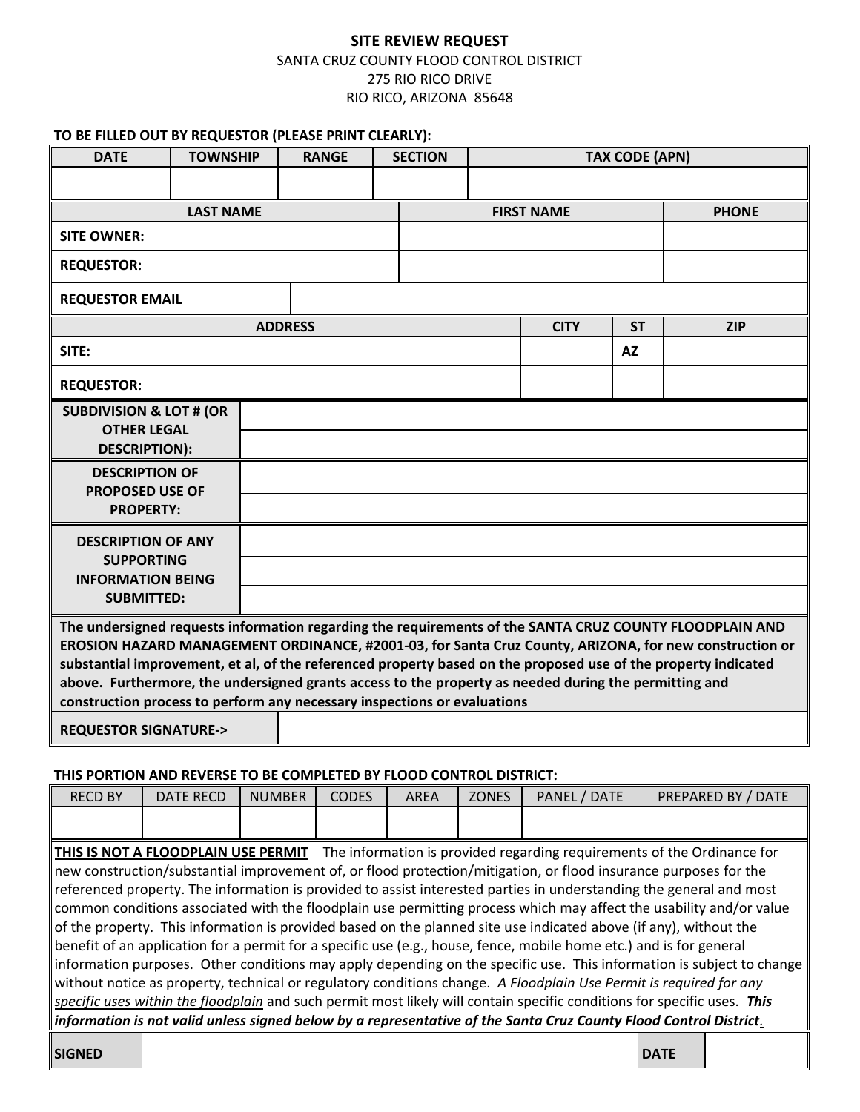## **SITE REVIEW REQUEST**

## SANTA CRUZ COUNTY FLOOD CONTROL DISTRICT 275 RIO RICO DRIVE RIO RICO, ARIZONA 85648

### **TO BE FILLED OUT BY REQUESTOR (PLEASE PRINT CLEARLY):**

| <b>DATE</b>                                                                                                                                                                                                                                                                                                                                                                                                                                                                                                              | <b>TOWNSHIP</b> | <b>RANGE</b> |             | <b>SECTION</b>    |            | <b>TAX CODE (APN)</b> |  |              |  |
|--------------------------------------------------------------------------------------------------------------------------------------------------------------------------------------------------------------------------------------------------------------------------------------------------------------------------------------------------------------------------------------------------------------------------------------------------------------------------------------------------------------------------|-----------------|--------------|-------------|-------------------|------------|-----------------------|--|--------------|--|
|                                                                                                                                                                                                                                                                                                                                                                                                                                                                                                                          |                 |              |             |                   |            |                       |  |              |  |
| <b>LAST NAME</b>                                                                                                                                                                                                                                                                                                                                                                                                                                                                                                         |                 |              |             | <b>FIRST NAME</b> |            |                       |  | <b>PHONE</b> |  |
| <b>SITE OWNER:</b>                                                                                                                                                                                                                                                                                                                                                                                                                                                                                                       |                 |              |             |                   |            |                       |  |              |  |
| <b>REQUESTOR:</b>                                                                                                                                                                                                                                                                                                                                                                                                                                                                                                        |                 |              |             |                   |            |                       |  |              |  |
| <b>REQUESTOR EMAIL</b>                                                                                                                                                                                                                                                                                                                                                                                                                                                                                                   |                 |              |             |                   |            |                       |  |              |  |
|                                                                                                                                                                                                                                                                                                                                                                                                                                                                                                                          | <b>ADDRESS</b>  |              | <b>CITY</b> | <b>ST</b>         | <b>ZIP</b> |                       |  |              |  |
| SITE:                                                                                                                                                                                                                                                                                                                                                                                                                                                                                                                    |                 |              | <b>AZ</b>   |                   |            |                       |  |              |  |
| <b>REQUESTOR:</b>                                                                                                                                                                                                                                                                                                                                                                                                                                                                                                        |                 |              |             |                   |            |                       |  |              |  |
| <b>SUBDIVISION &amp; LOT # (OR</b>                                                                                                                                                                                                                                                                                                                                                                                                                                                                                       |                 |              |             |                   |            |                       |  |              |  |
| <b>OTHER LEGAL</b><br><b>DESCRIPTION):</b>                                                                                                                                                                                                                                                                                                                                                                                                                                                                               |                 |              |             |                   |            |                       |  |              |  |
| <b>DESCRIPTION OF</b>                                                                                                                                                                                                                                                                                                                                                                                                                                                                                                    |                 |              |             |                   |            |                       |  |              |  |
| <b>PROPOSED USE OF</b><br><b>PROPERTY:</b>                                                                                                                                                                                                                                                                                                                                                                                                                                                                               |                 |              |             |                   |            |                       |  |              |  |
|                                                                                                                                                                                                                                                                                                                                                                                                                                                                                                                          |                 |              |             |                   |            |                       |  |              |  |
| <b>DESCRIPTION OF ANY</b><br><b>SUPPORTING</b><br><b>INFORMATION BEING</b>                                                                                                                                                                                                                                                                                                                                                                                                                                               |                 |              |             |                   |            |                       |  |              |  |
|                                                                                                                                                                                                                                                                                                                                                                                                                                                                                                                          |                 |              |             |                   |            |                       |  |              |  |
| <b>SUBMITTED:</b>                                                                                                                                                                                                                                                                                                                                                                                                                                                                                                        |                 |              |             |                   |            |                       |  |              |  |
| The undersigned requests information regarding the requirements of the SANTA CRUZ COUNTY FLOODPLAIN AND<br>EROSION HAZARD MANAGEMENT ORDINANCE, #2001-03, for Santa Cruz County, ARIZONA, for new construction or<br>substantial improvement, et al, of the referenced property based on the proposed use of the property indicated<br>above. Furthermore, the undersigned grants access to the property as needed during the permitting and<br>construction process to perform any necessary inspections or evaluations |                 |              |             |                   |            |                       |  |              |  |
| <b>REQUESTOR SIGNATURE-&gt;</b>                                                                                                                                                                                                                                                                                                                                                                                                                                                                                          |                 |              |             |                   |            |                       |  |              |  |

#### **THIS PORTION AND REVERSE TO BE COMPLETED BY FLOOD CONTROL DISTRICT:**

| <b>RECD BY</b>                                                                                                                                                                                                                                                                                                                                                 | <b>DATE RECD</b> | <b>NUMBER</b> | <b>CODES</b> | AREA | <b>ZONES</b> | PANEL / DATE | PREPARED BY / DATE |  |  |  |
|----------------------------------------------------------------------------------------------------------------------------------------------------------------------------------------------------------------------------------------------------------------------------------------------------------------------------------------------------------------|------------------|---------------|--------------|------|--------------|--------------|--------------------|--|--|--|
|                                                                                                                                                                                                                                                                                                                                                                |                  |               |              |      |              |              |                    |  |  |  |
| The information is provided regarding requirements of the Ordinance for<br>THIS IS NOT A FLOODPLAIN USE PERMIT                                                                                                                                                                                                                                                 |                  |               |              |      |              |              |                    |  |  |  |
| new construction/substantial improvement of, or flood protection/mitigation, or flood insurance purposes for the<br>referenced property. The information is provided to assist interested parties in understanding the general and most<br>common conditions associated with the floodplain use permitting process which may affect the usability and/or value |                  |               |              |      |              |              |                    |  |  |  |
| of the property. This information is provided based on the planned site use indicated above (if any), without the<br>benefit of an application for a permit for a specific use (e.g., house, fence, mobile home etc.) and is for general                                                                                                                       |                  |               |              |      |              |              |                    |  |  |  |
| information purposes. Other conditions may apply depending on the specific use. This information is subject to change<br>without notice as property, technical or regulatory conditions change. A Floodplain Use Permit is required for any                                                                                                                    |                  |               |              |      |              |              |                    |  |  |  |
| specific uses within the floodplain and such permit most likely will contain specific conditions for specific uses. This<br>information is not valid unless signed below by a representative of the Santa Cruz County Flood Control District.                                                                                                                  |                  |               |              |      |              |              |                    |  |  |  |
|                                                                                                                                                                                                                                                                                                                                                                |                  |               |              |      |              |              |                    |  |  |  |

**SIGNED DATE**